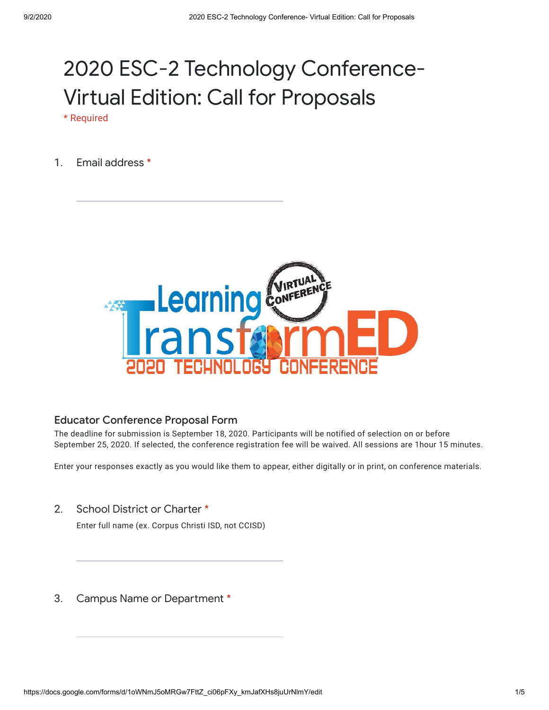## 2020 ESC-2 Technology Conference-Virtual Edition: Call for Proposals

\* Required

1. Email address \*



## Educator Conference Proposal Form

The deadline for submission is September 18, 2020. Participants will be notified of selection on or before September 25, 2020. If selected, the conference registration fee will be waived. All sessions are 1hour 15 minutes.

Enter your responses exactly as you would like them to appear, either digitally or in print, on conference materials.

2. School District or Charter \*

Enter full name (ex. Corpus Christi ISD, not CCISD)

3. Campus Name or Department \*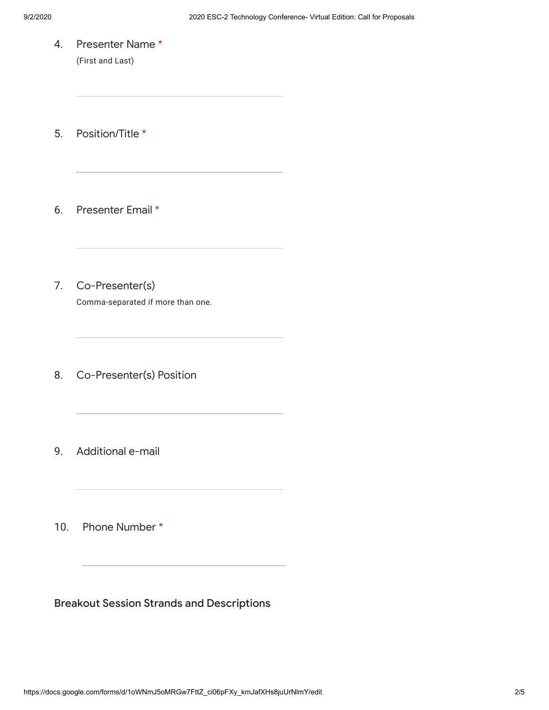4. Presenter Name \* (First and Last)

5. Position/Title \*

6. Presenter Email \*

- 7. Co-Presenter(s) Comma-separated if more than one.
- 8. Co-Presenter(s) Position
- 9. Additional e-mail

10. Phone Number \*

Breakout Session Strands and Descriptions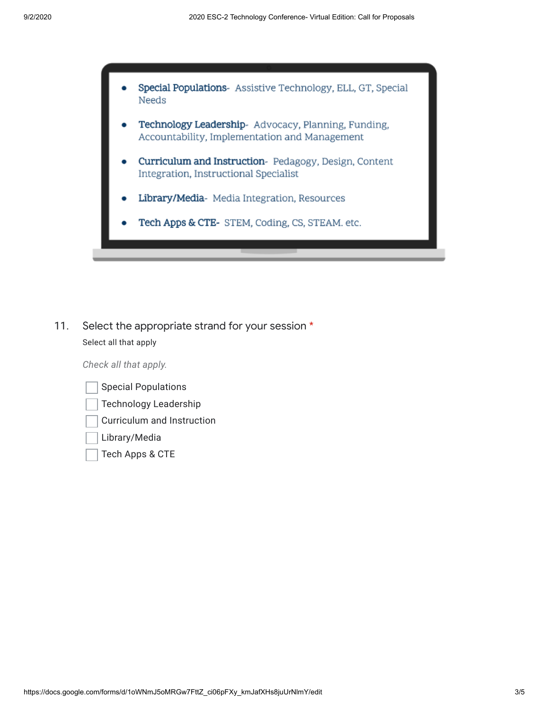

11. Select the appropriate strand for your session \* Select all that apply

*Check all that apply.*

| <b>Special Populations</b>   |
|------------------------------|
| <b>Technology Leadership</b> |
| Curriculum and Instruction   |
| Library/Media                |
| Tech Apps & CTE              |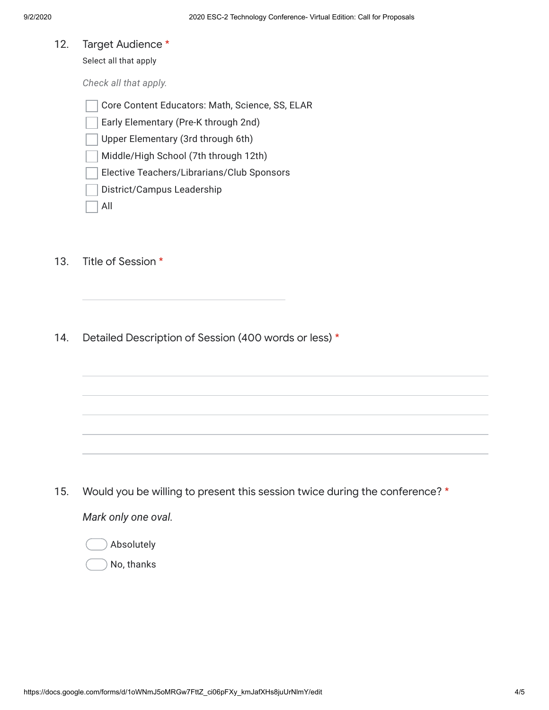12. Target Audience \*

Select all that apply

*Check all that apply.*

Core Content Educators: Math, Science, SS, ELAR

Early Elementary (Pre-K through 2nd)

Upper Elementary (3rd through 6th)

Middle/High School (7th through 12th)

- Elective Teachers/Librarians/Club Sponsors
- District/Campus Leadership

All

- 13. Title of Session \*
- 14. Detailed Description of Session (400 words or less) \*

15. *Mark only one oval.* Would you be willing to present this session twice during the conference? \*

Absolutely

No, thanks